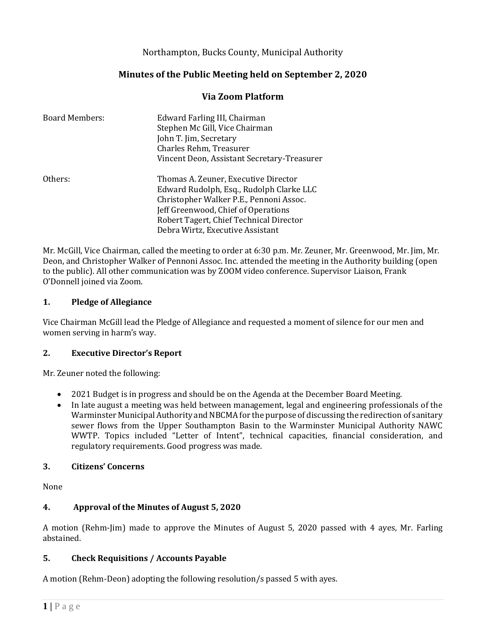# Northampton, Bucks County, Municipal Authority

# **Minutes of the Public Meeting held on September 2, 2020**

### **Via Zoom Platform**

| <b>Board Members:</b> | Edward Farling III, Chairman<br>Stephen Mc Gill, Vice Chairman<br>John T. Jim, Secretary<br>Charles Rehm, Treasurer<br>Vincent Deon, Assistant Secretary-Treasurer                                                                                |
|-----------------------|---------------------------------------------------------------------------------------------------------------------------------------------------------------------------------------------------------------------------------------------------|
| Others:               | Thomas A. Zeuner, Executive Director<br>Edward Rudolph, Esq., Rudolph Clarke LLC<br>Christopher Walker P.E., Pennoni Assoc.<br>Jeff Greenwood, Chief of Operations<br>Robert Tagert, Chief Technical Director<br>Debra Wirtz, Executive Assistant |

Mr. McGill, Vice Chairman, called the meeting to order at 6:30 p.m. Mr. Zeuner, Mr. Greenwood, Mr. Jim, Mr. Deon, and Christopher Walker of Pennoni Assoc. Inc. attended the meeting in the Authority building (open to the public). All other communication was by ZOOM video conference. Supervisor Liaison, Frank O'Donnell joined via Zoom.

#### **1. Pledge of Allegiance**

Vice Chairman McGill lead the Pledge of Allegiance and requested a moment of silence for our men and women serving in harm's way.

### **2. Executive Director's Report**

Mr. Zeuner noted the following:

- 2021 Budget is in progress and should be on the Agenda at the December Board Meeting.
- In late august a meeting was held between management, legal and engineering professionals of the Warminster Municipal Authority and NBCMA for the purpose of discussing the redirection of sanitary sewer flows from the Upper Southampton Basin to the Warminster Municipal Authority NAWC WWTP. Topics included "Letter of Intent", technical capacities, financial consideration, and regulatory requirements. Good progress was made.

### **3. Citizens' Concerns**

None

### **4. Approval of the Minutes of August 5, 2020**

A motion (Rehm-Jim) made to approve the Minutes of August 5, 2020 passed with 4 ayes, Mr. Farling abstained.

### **5. Check Requisitions / Accounts Payable**

A motion (Rehm-Deon) adopting the following resolution/s passed 5 with ayes.